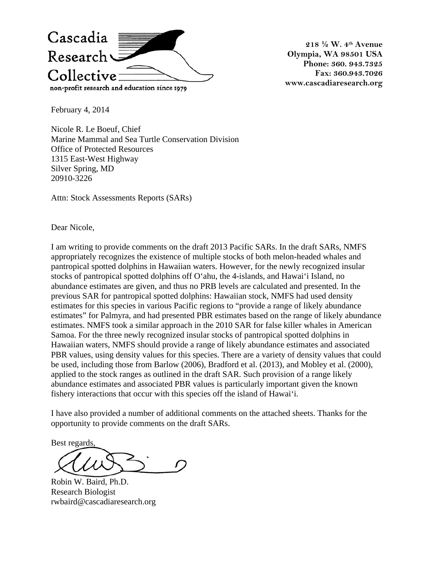

**218 ½ W. 4th Avenue Olympia, WA 98501 USA Phone: 360. 943.7325 Fax: 360.943.7026 www.cascadiaresearch.org** 

February 4, 2014

Nicole R. Le Boeuf, Chief Marine Mammal and Sea Turtle Conservation Division Office of Protected Resources 1315 East-West Highway Silver Spring, MD 20910-3226

Attn: Stock Assessments Reports (SARs)

Dear Nicole,

I am writing to provide comments on the draft 2013 Pacific SARs. In the draft SARs, NMFS appropriately recognizes the existence of multiple stocks of both melon-headed whales and pantropical spotted dolphins in Hawaiian waters. However, for the newly recognized insular stocks of pantropical spotted dolphins off O'ahu, the 4-islands, and Hawai'i Island, no abundance estimates are given, and thus no PRB levels are calculated and presented. In the previous SAR for pantropical spotted dolphins: Hawaiian stock, NMFS had used density estimates for this species in various Pacific regions to "provide a range of likely abundance estimates" for Palmyra, and had presented PBR estimates based on the range of likely abundance estimates. NMFS took a similar approach in the 2010 SAR for false killer whales in American Samoa. For the three newly recognized insular stocks of pantropical spotted dolphins in Hawaiian waters, NMFS should provide a range of likely abundance estimates and associated PBR values, using density values for this species. There are a variety of density values that could be used, including those from Barlow (2006), Bradford et al. (2013), and Mobley et al. (2000), applied to the stock ranges as outlined in the draft SAR. Such provision of a range likely abundance estimates and associated PBR values is particularly important given the known fishery interactions that occur with this species off the island of Hawai'i.

I have also provided a number of additional comments on the attached sheets. Thanks for the opportunity to provide comments on the draft SARs.

Best regards,

Robin W. Baird, Ph.D. Research Biologist rwbaird@cascadiaresearch.org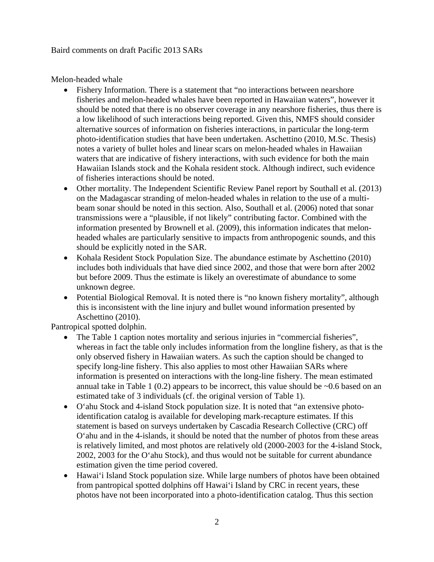Baird comments on draft Pacific 2013 SARs

Melon-headed whale

- Fishery Information. There is a statement that "no interactions between nearshore" fisheries and melon-headed whales have been reported in Hawaiian waters", however it should be noted that there is no observer coverage in any nearshore fisheries, thus there is a low likelihood of such interactions being reported. Given this, NMFS should consider alternative sources of information on fisheries interactions, in particular the long-term photo-identification studies that have been undertaken. Aschettino (2010, M.Sc. Thesis) notes a variety of bullet holes and linear scars on melon-headed whales in Hawaiian waters that are indicative of fishery interactions, with such evidence for both the main Hawaiian Islands stock and the Kohala resident stock. Although indirect, such evidence of fisheries interactions should be noted.
- Other mortality. The Independent Scientific Review Panel report by Southall et al. (2013) on the Madagascar stranding of melon-headed whales in relation to the use of a multibeam sonar should be noted in this section. Also, Southall et al. (2006) noted that sonar transmissions were a "plausible, if not likely" contributing factor. Combined with the information presented by Brownell et al. (2009), this information indicates that melonheaded whales are particularly sensitive to impacts from anthropogenic sounds, and this should be explicitly noted in the SAR.
- Kohala Resident Stock Population Size. The abundance estimate by Aschettino (2010) includes both individuals that have died since 2002, and those that were born after 2002 but before 2009. Thus the estimate is likely an overestimate of abundance to some unknown degree.
- Potential Biological Removal. It is noted there is "no known fishery mortality", although this is inconsistent with the line injury and bullet wound information presented by Aschettino (2010).

Pantropical spotted dolphin.

- The Table 1 caption notes mortality and serious injuries in "commercial fisheries", whereas in fact the table only includes information from the longline fishery, as that is the only observed fishery in Hawaiian waters. As such the caption should be changed to specify long-line fishery. This also applies to most other Hawaiian SARs where information is presented on interactions with the long-line fishery. The mean estimated annual take in Table 1 (0.2) appears to be incorrect, this value should be  $\sim 0.6$  based on an estimated take of 3 individuals (cf. the original version of Table 1).
- O'ahu Stock and 4-island Stock population size. It is noted that "an extensive photoidentification catalog is available for developing mark-recapture estimates. If this statement is based on surveys undertaken by Cascadia Research Collective (CRC) off O'ahu and in the 4-islands, it should be noted that the number of photos from these areas is relatively limited, and most photos are relatively old (2000-2003 for the 4-island Stock, 2002, 2003 for the O'ahu Stock), and thus would not be suitable for current abundance estimation given the time period covered.
- Hawai'i Island Stock population size. While large numbers of photos have been obtained from pantropical spotted dolphins off Hawai'i Island by CRC in recent years, these photos have not been incorporated into a photo-identification catalog. Thus this section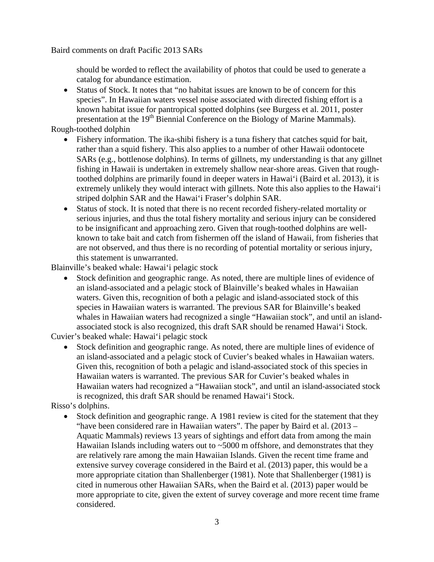Baird comments on draft Pacific 2013 SARs

should be worded to reflect the availability of photos that could be used to generate a catalog for abundance estimation.

• Status of Stock. It notes that "no habitat issues are known to be of concern for this species". In Hawaiian waters vessel noise associated with directed fishing effort is a known habitat issue for pantropical spotted dolphins (see Burgess et al. 2011, poster presentation at the 19<sup>th</sup> Biennial Conference on the Biology of Marine Mammals).

Rough-toothed dolphin

- Fishery information. The ika-shibi fishery is a tuna fishery that catches squid for bait, rather than a squid fishery. This also applies to a number of other Hawaii odontocete SARs (e.g., bottlenose dolphins). In terms of gillnets, my understanding is that any gillnet fishing in Hawaii is undertaken in extremely shallow near-shore areas. Given that roughtoothed dolphins are primarily found in deeper waters in Hawai'i (Baird et al. 2013), it is extremely unlikely they would interact with gillnets. Note this also applies to the Hawai'i striped dolphin SAR and the Hawai'i Fraser's dolphin SAR.
- Status of stock. It is noted that there is no recent recorded fishery-related mortality or serious injuries, and thus the total fishery mortality and serious injury can be considered to be insignificant and approaching zero. Given that rough-toothed dolphins are wellknown to take bait and catch from fishermen off the island of Hawaii, from fisheries that are not observed, and thus there is no recording of potential mortality or serious injury, this statement is unwarranted.

Blainville's beaked whale: Hawai'i pelagic stock

• Stock definition and geographic range. As noted, there are multiple lines of evidence of an island-associated and a pelagic stock of Blainville's beaked whales in Hawaiian waters. Given this, recognition of both a pelagic and island-associated stock of this species in Hawaiian waters is warranted. The previous SAR for Blainville's beaked whales in Hawaiian waters had recognized a single "Hawaiian stock", and until an islandassociated stock is also recognized, this draft SAR should be renamed Hawai'i Stock.

Cuvier's beaked whale: Hawai'i pelagic stock

• Stock definition and geographic range. As noted, there are multiple lines of evidence of an island-associated and a pelagic stock of Cuvier's beaked whales in Hawaiian waters. Given this, recognition of both a pelagic and island-associated stock of this species in Hawaiian waters is warranted. The previous SAR for Cuvier's beaked whales in Hawaiian waters had recognized a "Hawaiian stock", and until an island-associated stock is recognized, this draft SAR should be renamed Hawai'i Stock.

Risso's dolphins.

• Stock definition and geographic range. A 1981 review is cited for the statement that they "have been considered rare in Hawaiian waters". The paper by Baird et al. (2013 – Aquatic Mammals) reviews 13 years of sightings and effort data from among the main Hawaiian Islands including waters out to  $\sim$ 5000 m offshore, and demonstrates that they are relatively rare among the main Hawaiian Islands. Given the recent time frame and extensive survey coverage considered in the Baird et al. (2013) paper, this would be a more appropriate citation than Shallenberger (1981). Note that Shallenberger (1981) is cited in numerous other Hawaiian SARs, when the Baird et al. (2013) paper would be more appropriate to cite, given the extent of survey coverage and more recent time frame considered.